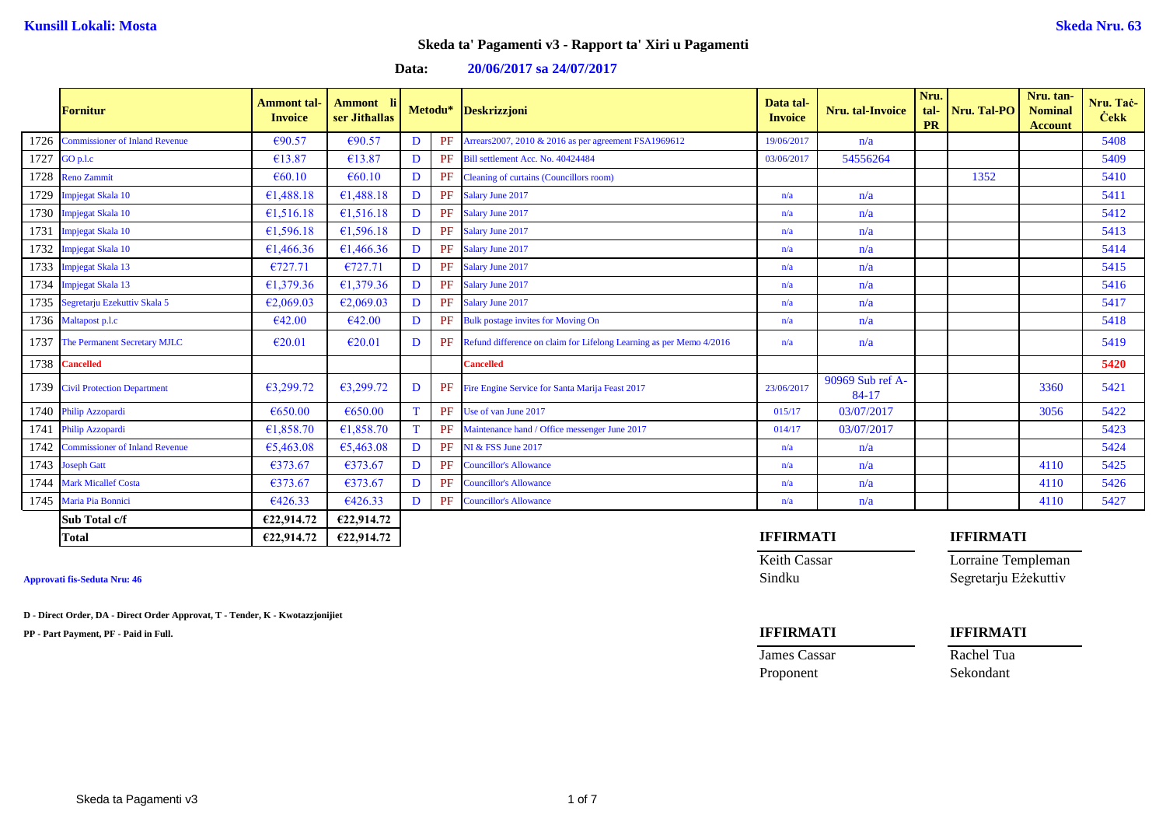## **Data: 20/06/2017 sa 24/07/2017**

|      | <b>Fornitur</b>                       | <b>Ammont</b> tal-<br><b>Invoice</b> | Ammont li<br>ser Jithallas |              | Metodu* | Deskrizzjoni                                                        | Data tal-<br><b>Invoice</b> | Nru. tal-Invoice          | Nru.<br>tal-<br><b>PR</b> | Nru. Tal-PO      | Nru. tan-<br><b>Nominal</b><br><b>Account</b> | Nru. Tač-<br><b>Cekk</b> |
|------|---------------------------------------|--------------------------------------|----------------------------|--------------|---------|---------------------------------------------------------------------|-----------------------------|---------------------------|---------------------------|------------------|-----------------------------------------------|--------------------------|
| 1726 | <b>Commissioner of Inland Revenue</b> | €90.57                               | €90.57                     | D            | PF      | Arrears 2007, 2010 & 2016 as per agreement FSA1969612               | 19/06/2017                  | n/a                       |                           |                  |                                               | 5408                     |
| 1727 | GO p.l.c                              | €13.87                               | €13.87                     | $\mathbf{D}$ | PF      | Bill settlement Acc. No. 40424484                                   | 03/06/2017                  | 54556264                  |                           |                  |                                               | 5409                     |
| 1728 | <b>Reno Zammit</b>                    | €60.10                               | €60.10                     | D            | PF      | Cleaning of curtains (Councillors room)                             |                             |                           |                           | 1352             |                                               | 5410                     |
| 1729 | Impjegat Skala 10                     | 61,488.18                            | £1,488.18                  | D            | PF      | Salary June 2017                                                    | n/a                         | n/a                       |                           |                  |                                               | 5411                     |
| 1730 | Impjegat Skala 10                     | €1,516.18                            | £1,516.18                  | D            | PF      | Salary June 2017                                                    | n/a                         | n/a                       |                           |                  |                                               | 5412                     |
| 1731 | Impjegat Skala 10                     | £1,596.18                            | £1,596.18                  | D            | PF      | Salary June 2017                                                    | n/a                         | n/a                       |                           |                  |                                               | 5413                     |
| 1732 | Impjegat Skala 10                     | €1,466.36                            | €1,466.36                  | D            | PF      | Salary June 2017                                                    | n/a                         | n/a                       |                           |                  |                                               | 5414                     |
| 1733 | Impjegat Skala 13                     | E727.71                              | €727.71                    | D            | PF      | Salary June 2017                                                    | n/a                         | n/a                       |                           |                  |                                               | 5415                     |
| 1734 | Impjegat Skala 13                     | 61,379.36                            | £1,379.36                  | D            | PF      | Salary June 2017                                                    | n/a                         | n/a                       |                           |                  |                                               | 5416                     |
| 1735 | Segretarju Ezekuttiv Skala 5          | E2,069.03                            | E2,069.03                  | D            | PF      | Salary June 2017                                                    | n/a                         | n/a                       |                           |                  |                                               | 5417                     |
|      | 1736 Maltapost p.l.c                  | €42.00                               | €42.00                     | $\mathbf{D}$ | PF      | <b>Bulk postage invites for Moving On</b>                           | n/a                         | n/a                       |                           |                  |                                               | 5418                     |
| 1737 | The Permanent Secretary MJLC          | €20.01                               | €20.01                     | D            | PF      | Refund difference on claim for Lifelong Learning as per Memo 4/2016 | n/a                         | n/a                       |                           |                  |                                               | 5419                     |
| 1738 | <b>Cancelled</b>                      |                                      |                            |              |         | <b>Cancelled</b>                                                    |                             |                           |                           |                  |                                               | 5420                     |
|      | 1739 Civil Protection Department      | 63,299.72                            | 63,299.72                  | D            | PF      | Fire Engine Service for Santa Marija Feast 2017                     | 23/06/2017                  | 90969 Sub ref A-<br>84-17 |                           |                  | 3360                                          | 5421                     |
| 1740 | Philip Azzopardi                      | €650.00                              | €650.00                    | T            | PF      | Use of van June 2017                                                | 015/17                      | 03/07/2017                |                           |                  | 3056                                          | 5422                     |
| 1741 | Philip Azzopardi                      | £1,858.70                            | £1,858.70                  | T            | PF      | Maintenance hand / Office messenger June 2017                       | 014/17                      | 03/07/2017                |                           |                  |                                               | 5423                     |
| 1742 | <b>Commissioner of Inland Revenue</b> | 65,463.08                            | €5,463.08                  | D            | PF      | <b>NI &amp; FSS June 2017</b>                                       | n/a                         | n/a                       |                           |                  |                                               | 5424                     |
| 1743 | <b>Joseph Gatt</b>                    | €373.67                              | €373.67                    | D            | PF      | <b>Councillor's Allowance</b>                                       | n/a                         | n/a                       |                           |                  | 4110                                          | 5425                     |
| 1744 | <b>Mark Micallef Costa</b>            | €373.67                              | €373.67                    | $\mathbf{D}$ | PF      | <b>Councillor's Allowance</b>                                       | n/a                         | n/a                       |                           |                  | 4110                                          | 5426                     |
| 1745 | Maria Pia Bonnici                     | 6426.33                              | €426.33                    | D            | PF      | <b>Councillor's Allowance</b>                                       | n/a                         | n/a                       |                           |                  | 4110                                          | 5427                     |
|      | Sub Total c/f                         | €22,914.72                           | €22,914.72                 |              |         |                                                                     |                             |                           |                           |                  |                                               |                          |
|      | <b>Total</b>                          | €22,914.72                           | €22,914.72                 |              |         |                                                                     | <b>IFFIRMATI</b>            |                           |                           | <b>IFFIRMATI</b> |                                               |                          |

**D - Direct Order, DA - Direct Order Approvat, T - Tender, K - Kwotazzjonijiet**

**PP - Part Payment, PF - Paid in Full. IFFIRMATI IFFIRMATI**

Keith Cassar **Lorraine Templeman Approvati fis-Seduta Nru: 46** Sindku Segretarju Eżekuttiv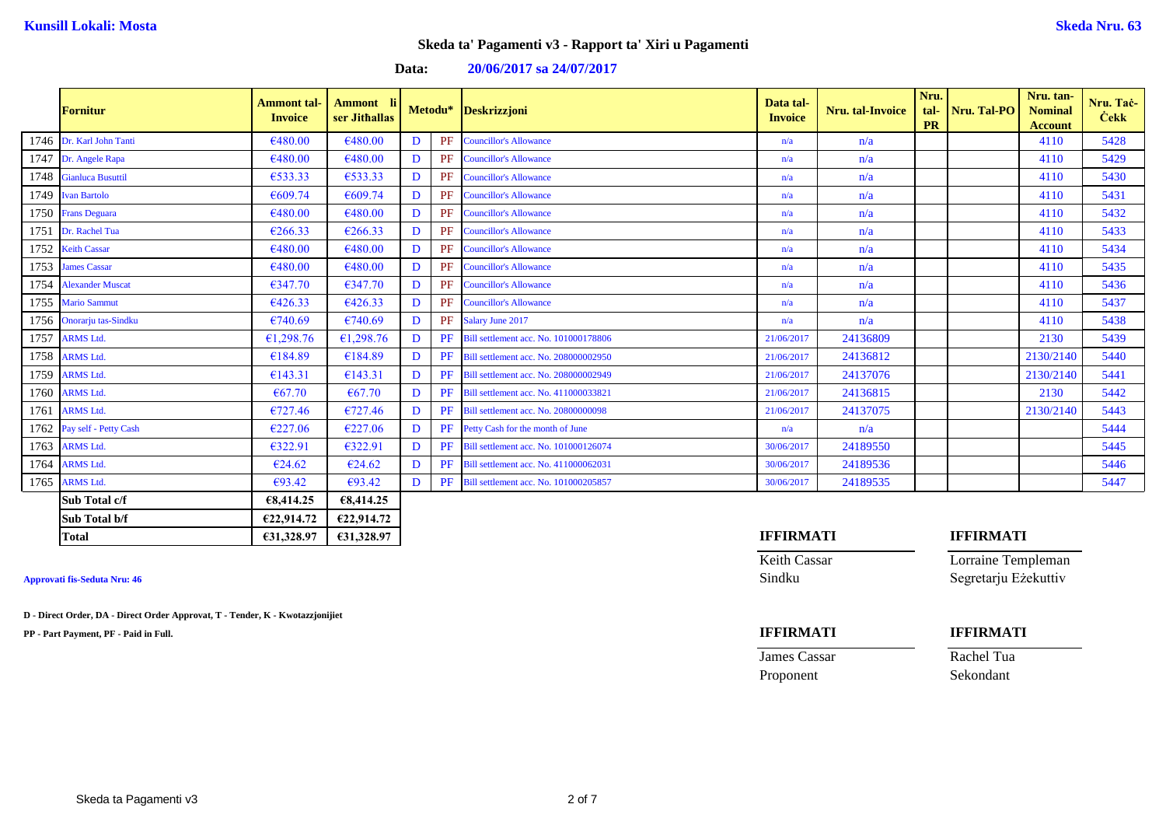| <b>Data:</b> |  | 20/06/2017 sa 24/07/2017 |
|--------------|--|--------------------------|
|--------------|--|--------------------------|

|      | <b>Fornitur</b>            | <b>Ammont</b> tal-<br><b>Invoice</b> | Ammont li<br>ser Jithallas |             |    | Metodu* Deskrizzjoni                            | Data tal-<br><b>Invoice</b> | Nru. tal-Invoice | Nru.<br>tal-<br><b>PR</b> | Nru. Tal-PO | Nru. tan-<br><b>Nominal</b><br><b>Account</b> | Nru. Tač-<br><b>Cekk</b> |
|------|----------------------------|--------------------------------------|----------------------------|-------------|----|-------------------------------------------------|-----------------------------|------------------|---------------------------|-------------|-----------------------------------------------|--------------------------|
|      | 1746 Dr. Karl John Tanti   | €480.00                              | €480.00                    | D           | PF | <b>Councillor's Allowance</b>                   | n/a                         | n/a              |                           |             | 4110                                          | 5428                     |
|      | 1747 Dr. Angele Rapa       | €480.00                              | €480.00                    | D           | PF | <b>Councillor's Allowance</b>                   | n/a                         | n/a              |                           |             | 4110                                          | 5429                     |
|      | 1748 Gianluca Busuttil     | €533.33                              | €533.33                    | D           | PF | <b>Councillor's Allowance</b>                   | n/a                         | n/a              |                           |             | 4110                                          | 5430                     |
|      | 1749 Ivan Bartolo          | €609.74                              | €609.74                    | D           | PF | <b>Councillor's Allowance</b>                   | n/a                         | n/a              |                           |             | 4110                                          | 5431                     |
|      | 1750 Frans Deguara         | €480.00                              | €480.00                    | D           |    | <b>PF</b> Councillor's Allowance                | n/a                         | n/a              |                           |             | 4110                                          | 5432                     |
|      | 1751 Dr. Rachel Tua        | €266.33                              | €266.33                    | D           | PF | <b>Councillor's Allowance</b>                   | n/a                         | n/a              |                           |             | 4110                                          | 5433                     |
|      | 1752 Keith Cassar          | €480.00                              | €480.00                    | $\mathbf D$ | PF | <b>Councillor's Allowance</b>                   | n/a                         | n/a              |                           |             | 4110                                          | 5434                     |
|      | 1753 James Cassar          | €480.00                              | €480.00                    | D           | PF | <b>Councillor's Allowance</b>                   | n/a                         | n/a              |                           |             | 4110                                          | 5435                     |
|      | 1754 Alexander Muscat      | 6347.70                              | €347.70                    | D           | PF | <b>Councillor's Allowance</b>                   | n/a                         | n/a              |                           |             | 4110                                          | 5436                     |
|      | 1755 Mario Sammut          | €426.33                              | 6426.33                    | D           | PF | <b>Councillor's Allowance</b>                   | n/a                         | n/a              |                           |             | 4110                                          | 5437                     |
|      | 1756 Onorarju tas-Sindku   | €740.69                              | €740.69                    | D           |    | PF Salary June 2017                             | n/a                         | n/a              |                           |             | 4110                                          | 5438                     |
|      | 1757 ARMS Ltd.             | €1,298.76                            | £1,298.76                  | D           |    | PF Bill settlement acc. No. 101000178806        | 21/06/2017                  | 24136809         |                           |             | 2130                                          | 5439                     |
| 1758 | <b>ARMS Ltd.</b>           | €184.89                              | €184.89                    | D           |    | <b>PF</b> Bill settlement acc. No. 208000002950 | 21/06/2017                  | 24136812         |                           |             | 2130/2140                                     | 5440                     |
| 1759 | <b>ARMS Ltd.</b>           | €143.31                              | €143.31                    | D           |    | PF Bill settlement acc. No. 208000002949        | 21/06/2017                  | 24137076         |                           |             | 2130/2140                                     | 5441                     |
| 1760 | <b>ARMS Ltd.</b>           | €67.70                               | €67.70                     | D           | PF | Bill settlement acc. No. 411000033821           | 21/06/2017                  | 24136815         |                           |             | 2130                                          | 5442                     |
| 1761 | <b>ARMS Ltd.</b>           | €727.46                              | €727.46                    | D           | PF | Bill settlement acc. No. 20800000098            | 21/06/2017                  | 24137075         |                           |             | 2130/2140                                     | 5443                     |
|      | 1762 Pay self - Petty Cash | €227.06                              | €227.06                    | D           | PF | Petty Cash for the month of June                | n/a                         | n/a              |                           |             |                                               | 5444                     |
|      | 1763 ARMS Ltd.             | €322.91                              | €322.91                    | D           |    | PF Bill settlement acc. No. 101000126074        | 30/06/2017                  | 24189550         |                           |             |                                               | 5445                     |
| 1764 | <b>ARMS Ltd.</b>           | €24.62                               | €24.62                     | D           | PF | Bill settlement acc. No. 411000062031           | 30/06/2017                  | 24189536         |                           |             |                                               | 5446                     |
| 1765 | <b>ARMS Ltd.</b>           | $\epsilon$ 93.42                     | €93.42                     | D           |    | PF Bill settlement acc. No. 101000205857        | 30/06/2017                  | 24189535         |                           |             |                                               | 5447                     |
|      | Sub Total c/f              | €8,414.25                            | €8,414.25                  |             |    |                                                 |                             |                  |                           |             |                                               |                          |
|      | Sub Total b/f              | €22,914.72                           | €22,914.72                 |             |    |                                                 |                             |                  |                           |             |                                               |                          |

**D - Direct Order, DA - Direct Order Approvat, T - Tender, K - Kwotazzjonijiet**

**PP - Part Payment, PF - Paid in Full. IFFIRMATI IFFIRMATI**

## **Total €31,328.97 €31,328.97 IFFIRMATI IFFIRMATI**

Keith Cassar **Lorraine Templeman Approvati fis-Seduta Nru: 46** Sindku Segretarju Eżekuttiv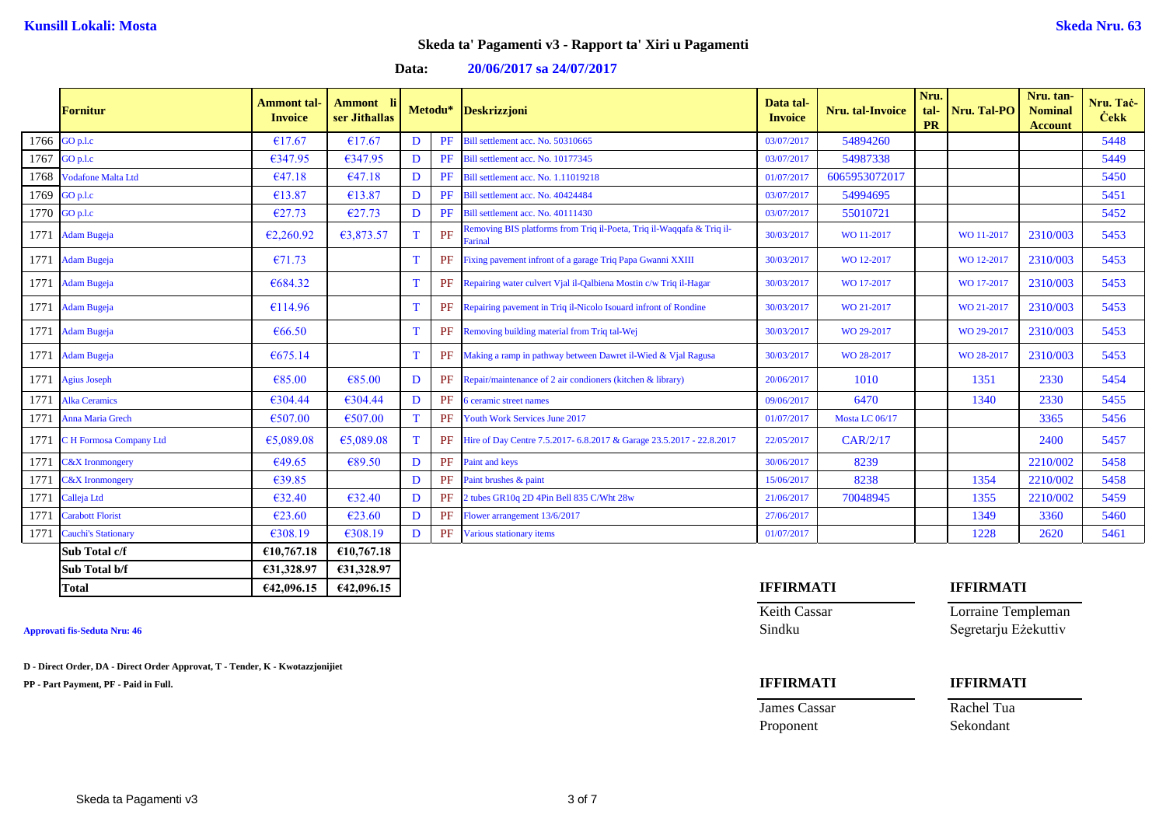## **Data: 20/06/2017 sa 24/07/2017**

|      | <b>Fornitur</b>            | <b>Ammont</b> tal<br><b>Invoice</b> | Ammont li<br>ser Jithallas |             | Metodu*   | <b>Deskrizzjoni</b>                                                              | Data tal-<br><b>Invoice</b> | <b>Nru.</b> tal-Invoice | Nru.<br>tal-<br><b>PR</b> | Nru. Tal-PO | Nru. tan-<br><b>Nominal</b><br><b>Account</b> | Nru. Tač-<br><b>Cekk</b> |
|------|----------------------------|-------------------------------------|----------------------------|-------------|-----------|----------------------------------------------------------------------------------|-----------------------------|-------------------------|---------------------------|-------------|-----------------------------------------------|--------------------------|
|      | 1766 GO p.l.c              | €17.67                              | €17.67                     | D           | <b>PF</b> | Bill settlement acc. No. 50310665                                                | 03/07/2017                  | 54894260                |                           |             |                                               | 5448                     |
| 1767 | GO p.l.c                   | €347.95                             | €347.95                    | D           | PF        | Bill settlement acc. No. 10177345                                                | 03/07/2017                  | 54987338                |                           |             |                                               | 5449                     |
| 1768 | Vodafone Malta Ltd         | 647.18                              | €47.18                     | D           | PF        | Bill settlement acc. No. 1.11019218                                              | 01/07/2017                  | 6065953072017           |                           |             |                                               | 5450                     |
| 1769 | GO p.l.c                   | €13.87                              | €13.87                     | D           | PF        | Bill settlement acc. No. 40424484                                                | 03/07/2017                  | 54994695                |                           |             |                                               | 5451                     |
|      | 1770 $GO$ p.l.c            | E27.73                              | E27.73                     | D           | PF        | Bill settlement acc. No. 40111430                                                | 03/07/2017                  | 55010721                |                           |             |                                               | 5452                     |
|      | 1771 Adam Bugeja           | E2,260.92                           | €3,873.57                  | T           | PF        | Removing BIS platforms from Triq il-Poeta, Triq il-Waqqafa & Triq il-<br>Farinal | 30/03/2017                  | WO 11-2017              |                           | WO 11-2017  | 2310/003                                      | 5453                     |
|      | 1771 Adam Bugeja           | E71.73                              |                            | T           | PF        | Fixing pavement infront of a garage Triq Papa Gwanni XXIII                       | 30/03/2017                  | WO 12-2017              |                           | WO 12-2017  | 2310/003                                      | 5453                     |
|      | 1771 Adam Bugeja           | €684.32                             |                            | T           | PF        | Repairing water culvert Vjal il-Qalbiena Mostin c/w Triq il-Hagar                | 30/03/2017                  | WO 17-2017              |                           | WO 17-2017  | 2310/003                                      | 5453                     |
|      | 1771 Adam Bugeja           | €114.96                             |                            | T           | PF        | Repairing pavement in Triq il-Nicolo Isouard infront of Rondine                  | 30/03/2017                  | WO 21-2017              |                           | WO 21-2017  | 2310/003                                      | 5453                     |
|      | 1771 Adam Bugeja           | €66.50                              |                            | T           | PF        | Removing building material from Triq tal-Wej                                     | 30/03/2017                  | WO 29-2017              |                           | WO 29-2017  | 2310/003                                      | 5453                     |
|      | 1771 Adam Bugeja           | €675.14                             |                            | T           | PF        | Making a ramp in pathway between Dawret il-Wied & Vjal Ragusa                    | 30/03/2017                  | WO 28-2017              |                           | WO 28-2017  | 2310/003                                      | 5453                     |
|      | 1771 Agius Joseph          | €85.00                              | €85.00                     | D           | PF        | Repair/maintenance of 2 air condioners (kitchen & library)                       | 20/06/2017                  | 1010                    |                           | 1351        | 2330                                          | 5454                     |
| 1771 | <b>Alka Ceramics</b>       | €304.44                             | €304.44                    | D           | PF        | 6 ceramic street names                                                           | 09/06/2017                  | 6470                    |                           | 1340        | 2330                                          | 5455                     |
| 1771 | Anna Maria Grech           | €507.00                             | €507.00                    | $\mathbf T$ | PF        | Youth Work Services June 2017                                                    | 01/07/2017                  | Mosta LC 06/17          |                           |             | 3365                                          | 5456                     |
| 1771 | C H Formosa Company Ltd    | €5,089.08                           | €5,089.08                  | T           | PF        | Hire of Day Centre 7.5.2017- 6.8.2017 & Garage 23.5.2017 - 22.8.2017             | 22/05/2017                  | CAR/2/17                |                           |             | 2400                                          | 5457                     |
| 1771 | <b>C&amp;X</b> Ironmongery | €49.65                              | €89.50                     | D           | PF        | <b>Paint and keys</b>                                                            | 30/06/2017                  | 8239                    |                           |             | 2210/002                                      | 5458                     |
| 1771 | <b>C&amp;X</b> Ironmongery | €39.85                              |                            | D           | PF        | Paint brushes & paint                                                            | 15/06/2017                  | 8238                    |                           | 1354        | 2210/002                                      | 5458                     |
| 1771 | Calleja Ltd                | 632.40                              | €32.40                     | D           | PF        | 2 tubes GR10q 2D 4Pin Bell 835 C/Wht 28w                                         | 21/06/2017                  | 70048945                |                           | 1355        | 2210/002                                      | 5459                     |
| 1771 | <b>Carabott Florist</b>    | €23.60                              | E23.60                     | D           | PF        | Flower arrangement 13/6/2017                                                     | 27/06/2017                  |                         |                           | 1349        | 3360                                          | 5460                     |
| 1771 | <b>Cauchi's Stationary</b> | €308.19                             | €308.19                    | D           | PF        | Various stationary items                                                         | 01/07/2017                  |                         |                           | 1228        | 2620                                          | 5461                     |
|      | Sub Total c/f              | €10,767.18                          | €10,767.18                 |             |           |                                                                                  |                             |                         |                           |             |                                               |                          |
|      | Sub Total b/f              | €31,328.97                          | €31,328.97                 |             |           |                                                                                  |                             |                         |                           |             |                                               |                          |

**D - Direct Order, DA - Direct Order Approvat, T - Tender, K - Kwotazzjonijiet**

**PP - Part Payment, PF - Paid in Full. IFFIRMATI IFFIRMATI**

# **Total €42,096.15 €42,096.15 IFFIRMATI IFFIRMATI**

Proponent Sekondant

Keith Cassar **Lorraine Templeman Approvati fis-Seduta Nru: 46** Sindku Segretarju Eżekuttiv

James Cassar Rachel Tua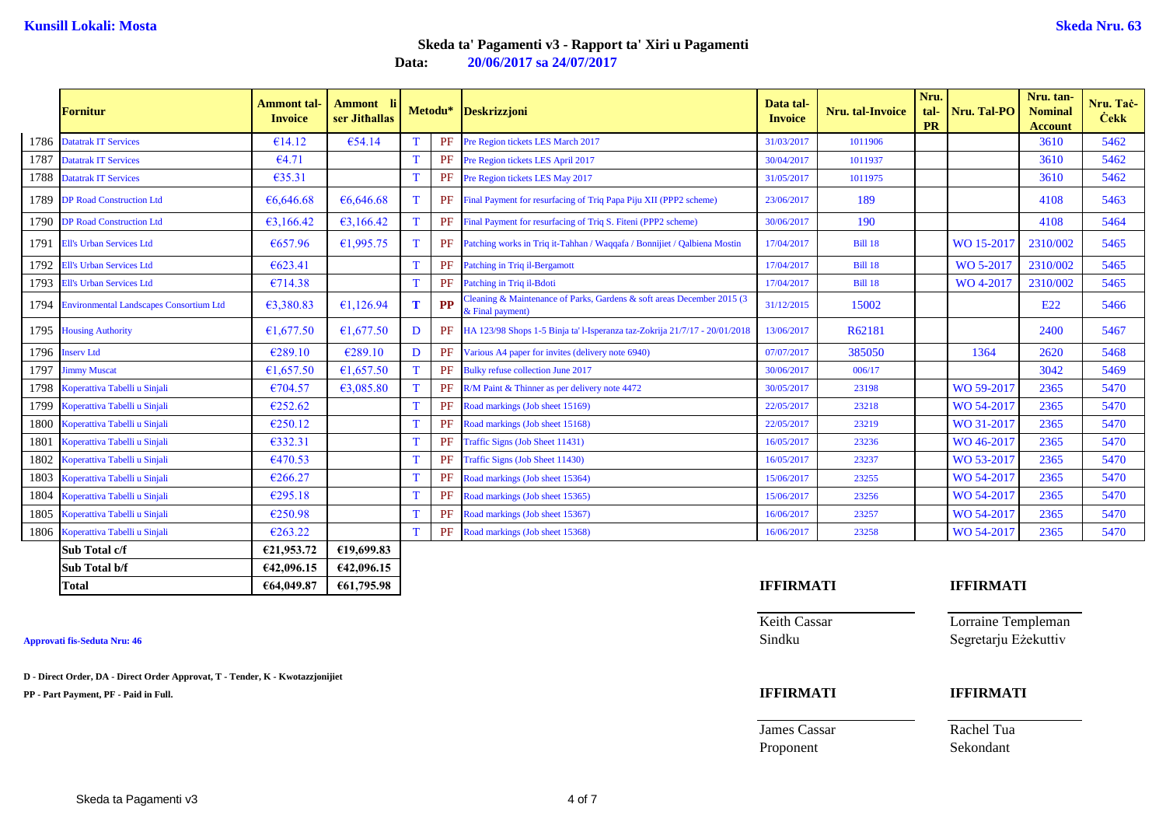**Data: 20/06/2017 sa 24/07/2017**

|      | <b>Fornitur</b>                              | Ammont tal-<br><b>Invoice</b> | Ammont li<br>ser Jithallas |    |           | Metodu* Deskrizzjoni                                                                        | Data tal-<br><b>Invoice</b> | Nru. tal-Invoice | Nru.<br>tal-<br><b>PR</b> | Nru. Tal-PO      | Nru. tan-<br><b>Nominal</b><br><b>Account</b> | Nru. Taċ-<br><b>Cekk</b> |
|------|----------------------------------------------|-------------------------------|----------------------------|----|-----------|---------------------------------------------------------------------------------------------|-----------------------------|------------------|---------------------------|------------------|-----------------------------------------------|--------------------------|
|      | 1786 Datatrak IT Services                    | €14.12                        | $\epsilon$ 54.14           |    | PF        | Pre Region tickets LES March 2017                                                           | 31/03/2017                  | 1011906          |                           |                  | 3610                                          | 5462                     |
| 1787 | <b>Datatrak IT Services</b>                  | 64.71                         |                            | T  | PF        | Pre Region tickets LES April 2017                                                           | 30/04/2017                  | 1011937          |                           |                  | 3610                                          | 5462                     |
|      | 1788 Datatrak IT Services                    | €35.31                        |                            | T  | PF        | Pre Region tickets LES May 2017                                                             | 31/05/2017                  | 1011975          |                           |                  | 3610                                          | 5462                     |
|      | 1789 DP Road Construction Ltd                | €6,646,68                     | €6.646.68                  | T  |           | <b>PF</b> Final Payment for resurfacing of Triq Papa Piju XII (PPP2 scheme)                 | 23/06/2017                  | 189              |                           |                  | 4108                                          | 5463                     |
|      | 1790 DP Road Construction Ltd                | 63,166.42                     | 63,166.42                  | T. | PF        | Final Payment for resurfacing of Triq S. Fiteni (PPP2 scheme)                               | 30/06/2017                  | 190              |                           |                  | 4108                                          | 5464                     |
|      | 1791 Ell's Urban Services Ltd                | €657.96                       | 61,995.75                  | T. |           | PF Patching works in Triq it-Tahhan / Waqqafa / Bonnijiet / Qalbiena Mostin                 | 17/04/2017                  | <b>Bill 18</b>   |                           | WO 15-2017       | 2310/002                                      | 5465                     |
| 1792 | <b>Ell's Urban Services Ltd</b>              | €623.41                       |                            | T  | PF        | Patching in Triq il-Bergamott                                                               | 17/04/2017                  | <b>Bill 18</b>   |                           | WO 5-2017        | 2310/002                                      | 5465                     |
| 1793 | <b>Ell's Urban Services Ltd</b>              | €714.38                       |                            | T  | PF        | Patching in Trig il-Bdoti                                                                   | 17/04/2017                  | <b>Bill 18</b>   |                           | WO 4-2017        | 2310/002                                      | 5465                     |
|      | 1794 Environmental Landscapes Consortium Ltd | €3,380.83                     | 61,126.94                  | т  | <b>PP</b> | Cleaning & Maintenance of Parks, Gardens & soft areas December 2015 (3)<br>& Final payment) | 31/12/2015                  | 15002            |                           |                  | E <sub>22</sub>                               | 5466                     |
|      | 1795 Housing Authority                       | £1,677.50                     | £1,677.50                  | D  |           | PF HA 123/98 Shops 1-5 Binja ta' l-Isperanza taz-Zokrija 21/7/17 - 20/01/2018               | 13/06/2017                  | R62181           |                           |                  | 2400                                          | 5467                     |
|      | 1796 Inserv Ltd                              | €289.10                       | €289.10                    | D  | PF        | Various A4 paper for invites (delivery note 6940)                                           | 07/07/2017                  | 385050           |                           | 1364             | 2620                                          | 5468                     |
| 1797 | <b>Jimmy Muscat</b>                          | 61,657.50                     | €1,657.50                  | T. | PF        | <b>Bulky refuse collection June 2017</b>                                                    | 30/06/2017                  | 006/17           |                           |                  | 3042                                          | 5469                     |
|      | 1798 Koperattiva Tabelli u Sinjali           | €704.57                       | €3,085.80                  |    |           | PF R/M Paint & Thinner as per delivery note 4472                                            | 30/05/2017                  | 23198            |                           | WO 59-2017       | 2365                                          | 5470                     |
| 1799 | Koperattiva Tabelli u Sinjali                | €252.62                       |                            | T  | PF        | Road markings (Job sheet 15169)                                                             | 22/05/2017                  | 23218            |                           | WO 54-2017       | 2365                                          | 5470                     |
| 1800 | Koperattiva Tabelli u Sinjali                | €250.12                       |                            | T  | PF        | Road markings (Job sheet 15168)                                                             | 22/05/2017                  | 23219            |                           | WO 31-2017       | 2365                                          | 5470                     |
| 1801 | Koperattiva Tabelli u Sinjali                | €332.31                       |                            | т  | PF        | Traffic Signs (Job Sheet 11431)                                                             | 16/05/2017                  | 23236            |                           | WO 46-2017       | 2365                                          | 5470                     |
| 1802 | Koperattiva Tabelli u Sinjali                | €470.53                       |                            | T  | PF        | Traffic Signs (Job Sheet 11430)                                                             | 16/05/2017                  | 23237            |                           | WO 53-2017       | 2365                                          | 5470                     |
| 1803 | Koperattiva Tabelli u Sinjali                | €266.27                       |                            | T  | PF        | Road markings (Job sheet 15364)                                                             | 15/06/2017                  | 23255            |                           | WO 54-2017       | 2365                                          | 5470                     |
| 1804 | Koperattiva Tabelli u Sinjali                | €295.18                       |                            |    | PF        | Road markings (Job sheet 15365)                                                             | 15/06/2017                  | 23256            |                           | WO 54-2017       | 2365                                          | 5470                     |
| 1805 | Koperattiva Tabelli u Sinjali                | €250.98                       |                            | T  | PF        | Road markings (Job sheet 15367)                                                             | 16/06/2017                  | 23257            |                           | WO 54-2017       | 2365                                          | 5470                     |
|      | 1806 Koperattiva Tabelli u Sinjali           | €263.22                       |                            | T  | PF        | Road markings (Job sheet 15368)                                                             | 16/06/2017                  | 23258            |                           | WO 54-2017       | 2365                                          | 5470                     |
|      | Sub Total c/f                                | €21,953.72                    | €19,699.83                 |    |           |                                                                                             |                             |                  |                           |                  |                                               |                          |
|      | Sub Total b/f                                | €42,096.15                    | €42,096.15                 |    |           |                                                                                             |                             |                  |                           |                  |                                               |                          |
|      | <b>Total</b>                                 | €64,049.87                    | €61,795.98                 |    |           |                                                                                             | <b>IFFIRMATI</b>            |                  |                           | <b>IFFIRMATI</b> |                                               |                          |

| Total                                                                         | E04,049.07<br><b>601,795.98</b> | <b>IFFINNIAII</b>   | IFFINVIATI           |
|-------------------------------------------------------------------------------|---------------------------------|---------------------|----------------------|
|                                                                               |                                 | <b>Keith Cassar</b> | Lorraine Templeman   |
| <b>Approvati fis-Seduta Nru: 46</b>                                           |                                 | Sindku              | Segretarju Ezekuttiv |
| D - Direct Order, DA - Direct Order Approvat, T - Tender, K - Kwotazzjonijiet |                                 |                     |                      |
| PP - Part Payment, PF - Paid in Full.                                         |                                 | <b>IFFIRMATI</b>    | <b>IFFIRMATI</b>     |
|                                                                               |                                 | James Cassar        | Rachel Tua           |
|                                                                               |                                 | Proponent           | Sekondant            |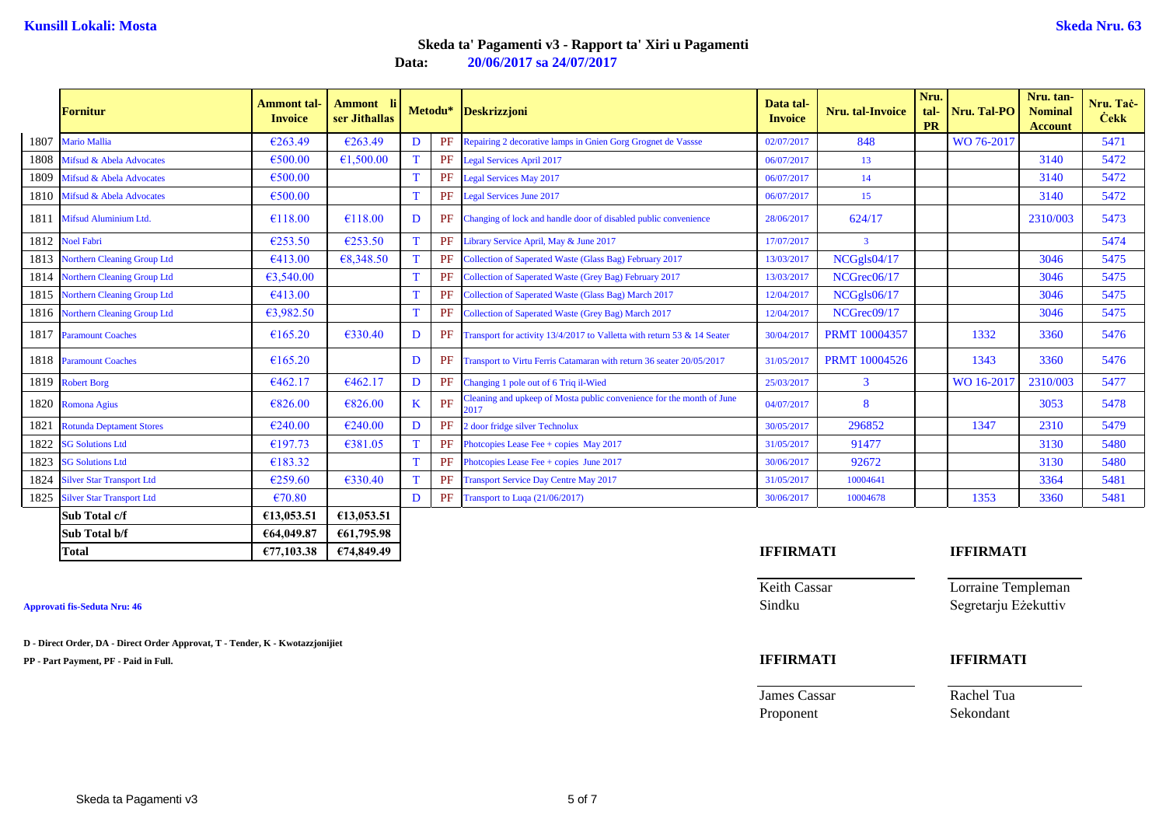**Data: 20/06/2017 sa 24/07/2017**

|      | <b>Fornitur</b>                  | <b>Ammont</b> tal-<br><b>Invoice</b> | Ammont li<br>ser Jithallas |              |    | Metodu* Deskrizzjoni                                                          | Data tal-<br><b>Invoice</b> | Nru. tal-Invoice     | Nru.<br>tal-<br><b>PR</b> | Nru. Tal-PO      | Nru. tan-<br><b>Nominal</b><br><b>Account</b> | Nru. Tac-<br><b>Cekk</b> |
|------|----------------------------------|--------------------------------------|----------------------------|--------------|----|-------------------------------------------------------------------------------|-----------------------------|----------------------|---------------------------|------------------|-----------------------------------------------|--------------------------|
|      | 1807 Mario Mallia                | €263.49                              | €263.49                    | D            |    | PF Repairing 2 decorative lamps in Gnien Gorg Grognet de Vassse               | 02/07/2017                  | 848                  |                           | WO 76-2017       |                                               | 5471                     |
|      | 1808 Mifsud & Abela Advocates    | €500.00                              | €1,500.00                  | <sup>T</sup> |    | PF Legal Services April 2017                                                  | 06/07/2017                  | 13                   |                           |                  | 3140                                          | 5472                     |
| 1809 | Mifsud & Abela Advocates         | €500.00                              |                            | T            | PF | <b>Legal Services May 2017</b>                                                | 06/07/2017                  | 14                   |                           |                  | 3140                                          | 5472                     |
|      | 1810 Mifsud & Abela Advocates    | €500.00                              |                            |              | PF | <b>Legal Services June 2017</b>                                               | 06/07/2017                  | 15                   |                           |                  | 3140                                          | 5472                     |
| 1811 | <b>Mifsud Aluminium Ltd.</b>     | €118.00                              | €118.00                    | D            | PF | Changing of lock and handle door of disabled public convenience               | 28/06/2017                  | 624/17               |                           |                  | 2310/003                                      | 5473                     |
|      | 1812 Noel Fabri                  | $\epsilon$ 253.50                    | €253.50                    | T            | PF | Library Service April, May & June 2017                                        | 17/07/2017                  | $\overline{3}$       |                           |                  |                                               | 5474                     |
|      | 1813 Northern Cleaning Group Ltd | €413.00                              | €8,348.50                  | T            | PF | Collection of Saperated Waste (Glass Bag) February 2017                       | 13/03/2017                  | NCGgls04/17          |                           |                  | 3046                                          | 5475                     |
|      | 1814 Northern Cleaning Group Ltd | 63,540.00                            |                            | <sup>T</sup> | PF | Collection of Saperated Waste (Grey Bag) February 2017                        | 13/03/2017                  | NCGrec06/17          |                           |                  | 3046                                          | 5475                     |
|      | 1815 Northern Cleaning Group Ltd | €413.00                              |                            | T            | PF | Collection of Saperated Waste (Glass Bag) March 2017                          | 12/04/2017                  | NCGgls06/17          |                           |                  | 3046                                          | 5475                     |
|      | 1816 Northern Cleaning Group Ltd | 63,982.50                            |                            |              | PF | Collection of Saperated Waste (Grey Bag) March 2017                           | 12/04/2017                  | NCGrec09/17          |                           |                  | 3046                                          | 5475                     |
|      | 1817 Paramount Coaches           | €165.20                              | €330.40                    | D            | PF | Transport for activity 13/4/2017 to Valletta with return 53 & 14 Seater       | 30/04/2017                  | <b>PRMT</b> 10004357 |                           | 1332             | 3360                                          | 5476                     |
|      | 1818 Paramount Coaches           | €165.20                              |                            | D            | PF | Transport to Virtu Ferris Catamaran with return 36 seater 20/05/2017          | 31/05/2017                  | <b>PRMT</b> 10004526 |                           | 1343             | 3360                                          | 5476                     |
|      | 1819 Robert Borg                 | €462.17                              | €462.17                    | D            | PF | Changing 1 pole out of 6 Triq il-Wied                                         | 25/03/2017                  | $\overline{3}$       |                           | WO 16-2017       | 2310/003                                      | 5477                     |
|      | 1820 Romona Agius                | €826.00                              | €826.00                    | K            | PF | Cleaning and upkeep of Mosta public convenience for the month of June<br>2017 | 04/07/2017                  | 8                    |                           |                  | 3053                                          | 5478                     |
| 1821 | <b>Rotunda Deptament Stores</b>  | €240.00                              | €240.00                    | D            | PF | 2 door fridge silver Technolux                                                | 30/05/2017                  | 296852               |                           | 1347             | 2310                                          | 5479                     |
| 1822 | <b>SG Solutions Ltd</b>          | €197.73                              | €381.05                    |              | PF | Photopies Lease Fee + copies May 2017                                         | 31/05/2017                  | 91477                |                           |                  | 3130                                          | 5480                     |
| 1823 | <b>SG Solutions Ltd</b>          | €183.32                              |                            | T            | PF | Photopies Lease Fee $+$ copies June 2017                                      | 30/06/2017                  | 92672                |                           |                  | 3130                                          | 5480                     |
| 1824 | <b>Silver Star Transport Ltd</b> | €259.60                              | 6330.40                    | T            | PF | <b>Transport Service Day Centre May 2017</b>                                  | 31/05/2017                  | 10004641             |                           |                  | 3364                                          | 5481                     |
|      | 1825 Silver Star Transport Ltd   | €70.80                               |                            | D            |    | PF Transport to Luqa (21/06/2017)                                             | 30/06/2017                  | 10004678             |                           | 1353             | 3360                                          | 5481                     |
|      | Sub Total c/f                    | €13,053.51                           | €13,053.51                 |              |    |                                                                               |                             |                      |                           |                  |                                               |                          |
|      | Sub Total b/f                    | €64,049.87                           | €61,795.98                 |              |    |                                                                               |                             |                      |                           |                  |                                               |                          |
|      | <b>Total</b>                     | €77,103.38                           | €74,849.49                 |              |    |                                                                               | <b>IFFIRMATI</b>            |                      |                           | <b>IFFIRMATI</b> |                                               |                          |

**D - Direct Order, DA - Direct Order Approvat, T - Tender, K - Kwotazzjonijiet PP - Part Payment, PF - Paid in Full. IFFIRMATI IFFIRMATI**

| FFIKMATI     |  |
|--------------|--|
| Zeith Cassar |  |

Keith Cassar **Lorraine Templeman**<br>
Sindku<br>
Segretariu Ezekuttiv **Approvati fis-Seduta Nru: 46** Sindku Segretarju Eżekuttiv

James Cassar Rachel Tua

Proponent Sekondant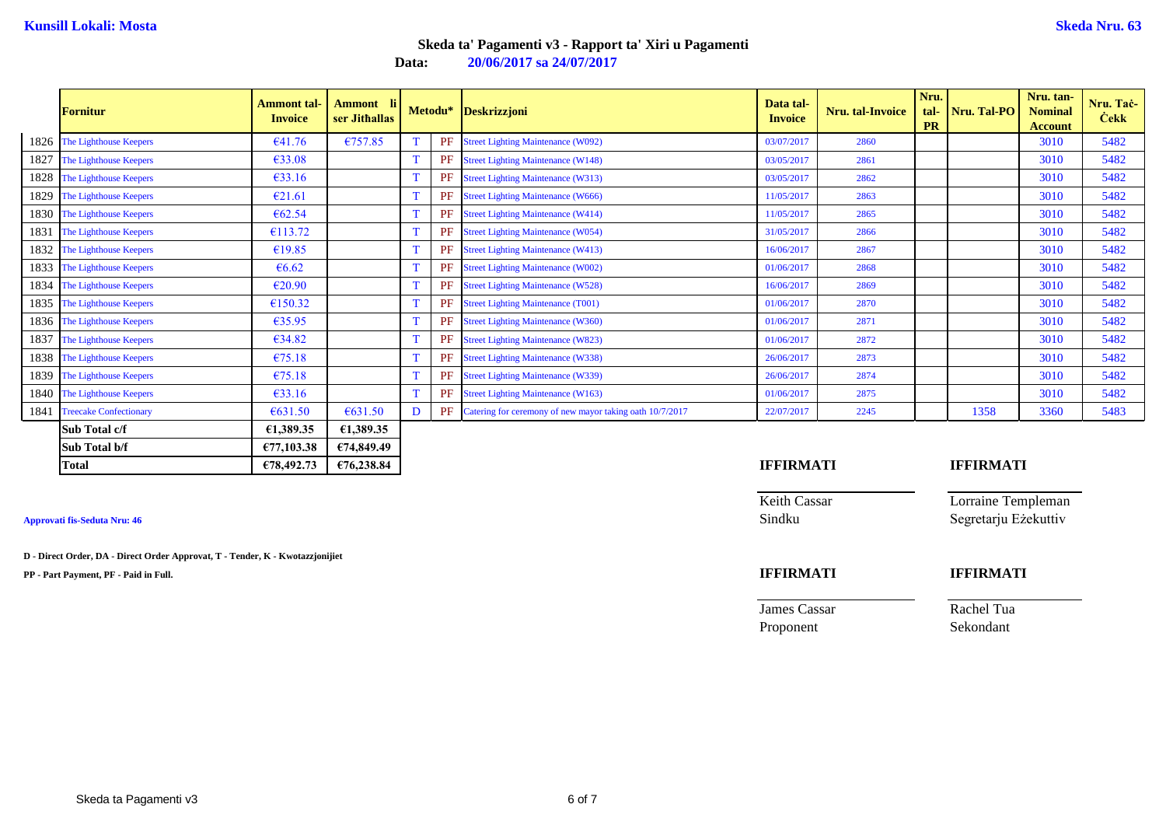**Data: 20/06/2017 sa 24/07/2017**

|      | <b>Fornitur</b>             | <b>Ammont</b> tal-<br><b>Invoice</b> | Ammont li<br>ser Jithallas |   |    | Metodu* Deskrizzjoni                                        | Data tal-<br><b>Invoice</b> | Nru. tal-Invoice | Nru.<br><b>PR</b> | tal- Nru. Tal-PO | Nru. tan-<br><b>Nominal</b><br><b>Account</b> | Nru. Tac-<br><b>Cekk</b> |
|------|-----------------------------|--------------------------------------|----------------------------|---|----|-------------------------------------------------------------|-----------------------------|------------------|-------------------|------------------|-----------------------------------------------|--------------------------|
|      | 1826 The Lighthouse Keepers | €41.76                               | €757.85                    |   |    | PF Street Lighting Maintenance (W092)                       | 03/07/2017                  | 2860             |                   |                  | 3010                                          | 5482                     |
| 1827 | The Lighthouse Keepers      | €33.08                               |                            |   |    | <b>PF</b> Street Lighting Maintenance (W148)                | 03/05/2017                  | 2861             |                   |                  | 3010                                          | 5482                     |
|      | 1828 The Lighthouse Keepers | €33.16                               |                            |   | PF | <b>Street Lighting Maintenance (W313)</b>                   | 03/05/2017                  | 2862             |                   |                  | 3010                                          | 5482                     |
|      | 1829 The Lighthouse Keepers | €21.61                               |                            |   | PF | <b>Street Lighting Maintenance (W666)</b>                   | 11/05/2017                  | 2863             |                   |                  | 3010                                          | 5482                     |
|      | 1830 The Lighthouse Keepers | €62.54                               |                            | T |    | PF Street Lighting Maintenance (W414)                       | 11/05/2017                  | 2865             |                   |                  | 3010                                          | 5482                     |
| 1831 | The Lighthouse Keepers      | €113.72                              |                            |   |    | <b>PF</b> Street Lighting Maintenance (W054)                | 31/05/2017                  | 2866             |                   |                  | 3010                                          | 5482                     |
| 1832 | The Lighthouse Keepers      | €19.85                               |                            |   |    | <b>PF</b> Street Lighting Maintenance (W413)                | 16/06/2017                  | 2867             |                   |                  | 3010                                          | 5482                     |
| 1833 | The Lighthouse Keepers      | $\epsilon$ 6.62                      |                            |   | PF | <b>Street Lighting Maintenance (W002)</b>                   | 01/06/2017                  | 2868             |                   |                  | 3010                                          | 5482                     |
|      | 1834 The Lighthouse Keepers | €20.90                               |                            | T |    | PF Street Lighting Maintenance (W528)                       | 16/06/2017                  | 2869             |                   |                  | 3010                                          | 5482                     |
|      | 1835 The Lighthouse Keepers | €150.32                              |                            |   |    | PF Street Lighting Maintenance (T001)                       | 01/06/2017                  | 2870             |                   |                  | 3010                                          | 5482                     |
|      | 1836 The Lighthouse Keepers | 635.95                               |                            | T |    | <b>PF</b> Street Lighting Maintenance (W360)                | 01/06/2017                  | 2871             |                   |                  | 3010                                          | 5482                     |
| 1837 | The Lighthouse Keepers      | 634.82                               |                            | T |    | PF Street Lighting Maintenance (W823)                       | 01/06/2017                  | 2872             |                   |                  | 3010                                          | 5482                     |
|      | 1838 The Lighthouse Keepers | €75.18                               |                            | T |    | PF Street Lighting Maintenance (W338)                       | 26/06/2017                  | 2873             |                   |                  | 3010                                          | 5482                     |
|      | 1839 The Lighthouse Keepers | €75.18                               |                            |   |    | <b>PF</b> Street Lighting Maintenance (W339)                | 26/06/2017                  | 2874             |                   |                  | 3010                                          | 5482                     |
|      | 1840 The Lighthouse Keepers | €33.16                               |                            | T |    | PF Street Lighting Maintenance (W163)                       | 01/06/2017                  | 2875             |                   |                  | 3010                                          | 5482                     |
|      | 1841 Treecake Confectionary | 6631.50                              | €631.50                    | D |    | PF Catering for ceremony of new mayor taking oath 10/7/2017 | 22/07/2017                  | 2245             |                   | 1358             | 3360                                          | 5483                     |
|      | Sub Total c/f               | €1,389.35                            | €1,389.35                  |   |    |                                                             |                             |                  |                   |                  |                                               |                          |
|      | Sub Total b/f               | €77,103.38                           | €74,849.49                 |   |    |                                                             |                             |                  |                   |                  |                                               |                          |
|      | <b>Total</b>                | €78,492.73                           | €76,238.84                 |   |    |                                                             | <b>IFFIRMATI</b>            |                  |                   | <b>IFFIRMATI</b> |                                               |                          |

**D - Direct Order, DA - Direct Order Approvat, T - Tender, K - Kwotazzjonijiet**

**PP - Part Payment, PF - Paid in Full. IFFIRMATI IFFIRMATI**

Keith Cassar **Lorraine Templeman Approvati fis-Seduta Nru: 46** Sindku Segretarju Eżekuttiv